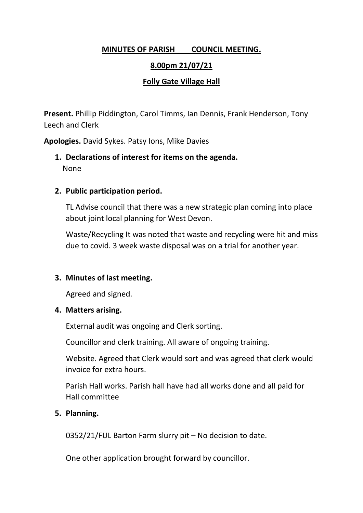## **MINUTES OF PARISH COUNCIL MEETING.**

# **8.00pm 21/07/21**

## **Folly Gate Village Hall**

**Present.** Phillip Piddington, Carol Timms, Ian Dennis, Frank Henderson, Tony Leech and Clerk

**Apologies.** David Sykes. Patsy Ions, Mike Davies

**1. Declarations of interest for items on the agenda.** None

#### **2. Public participation period.**

TL Advise council that there was a new strategic plan coming into place about joint local planning for West Devon.

Waste/Recycling It was noted that waste and recycling were hit and miss due to covid. 3 week waste disposal was on a trial for another year.

#### **3. Minutes of last meeting.**

Agreed and signed.

#### **4. Matters arising.**

External audit was ongoing and Clerk sorting.

Councillor and clerk training. All aware of ongoing training.

Website. Agreed that Clerk would sort and was agreed that clerk would invoice for extra hours.

Parish Hall works. Parish hall have had all works done and all paid for Hall committee

#### **5. Planning.**

0352/21/FUL Barton Farm slurry pit – No decision to date.

One other application brought forward by councillor.